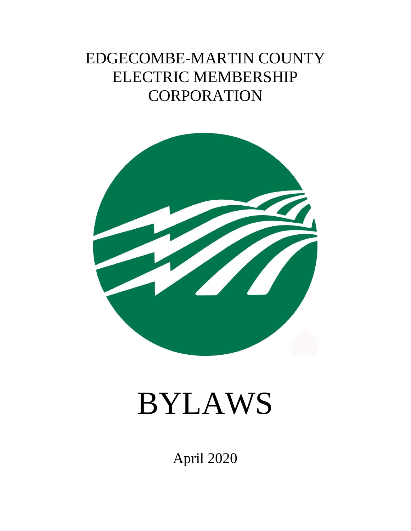# EDGECOMBE-MARTIN COUNTY ELECTRIC MEMBERSHIP **CORPORATION**



# BYLAWS

April 2020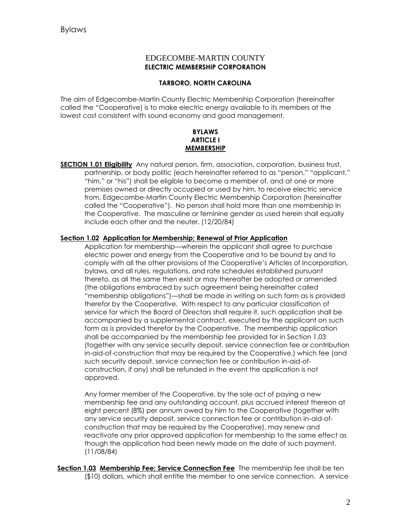# EDGECOMBE-MARTIN COUNTY **ELECTRIC MEMBERSHIP CORPORATION**

#### **TARBORO, NORTH CAROLINA**

The aim of Edgecombe-Martin County Electric Membership Corporation (hereinafter called the "Cooperative) is to make electric energy available to its members at the lowest cost consistent with sound economy and good management.

#### **BYLAWS ARTICLE I MEMBERSHIP**

**SECTION 1.01 Eligibility** Any natural person, firm, association, corporation, business trust, partnership, or body politic (each hereinafter referred to as "person," "applicant," "him," or "his") shall be eligible to become a member of, and at one or more premises owned or directly occupied or used by him, to receive electric service from, Edgecombe-Martin County Electric Membership Corporation (hereinafter called the "Cooperative"). No person shall hold more than one membership in the Cooperative. The masculine or feminine gender as used herein shall equally include each other and the neuter. (12/20/84)

#### **Section 1.02 Application for Membership; Renewal of Prior Application**

Application for membership—wherein the applicant shall agree to purchase electric power and energy from the Cooperative and to be bound by and to comply with all the other provisions of the Cooperative's Articles of Incorporation, bylaws, and all rules, regulations, and rate schedules established pursuant thereto, as all the same then exist or may thereafter be adopted or amended (the obligations embraced by such agreement being hereinafter called "membership obligations")—shall be made in writing on such form as is provided therefor by the Cooperative. With respect to any particular classification of service for which the Board of Directors shall require it, such application shall be accompanied by a supplemental contract, executed by the applicant on such form as is provided therefor by the Cooperative. The membership application shall be accompanied by the membership fee provided for in Section 1.03 (together with any service security deposit, service connection fee or contribution in-aid-of-construction that may be required by the Cooperative,) which fee (and such security deposit, service connection fee or contribution in-aid-ofconstruction, if any) shall be refunded in the event the application is not approved.

Any former member of the Cooperative, by the sole act of paying a new membership fee and any outstanding account, plus accrued interest thereon at eight percent (8%) per annum owed by him to the Cooperative (together with any service security deposit, service connection fee or contribution in-aid-ofconstruction that may be required by the Cooperative), may renew and reactivate any prior approved application for membership to the same effect as though the application had been newly made on the date of such payment. (11/08/84)

**Section 1.03 Membership Fee; Service Connection Fee** The membership fee shall be ten (\$10) dollars, which shall entitle the member to one service connection. A service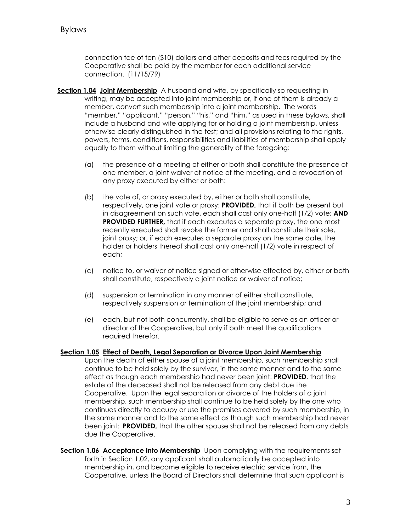connection fee of ten (\$10) dollars and other deposits and fees required by the Cooperative shall be paid by the member for each additional service connection. (11/15/79)

- **Section 1.04 Joint Membership** A husband and wife, by specifically so requesting in writing, may be accepted into joint membership or, if one of them is already a member, convert such membership into a joint membership. The words "member," "applicant," "person," "his," and "him," as used in these bylaws, shall include a husband and wife applying for or holding a joint membership, unless otherwise clearly distinguished in the test; and all provisions relating to the rights, powers, terms, conditions, responsibilities and liabilities of membership shall apply equally to them without limiting the generality of the foregoing:
	- (a) the presence at a meeting of either or both shall constitute the presence of one member, a joint waiver of notice of the meeting, and a revocation of any proxy executed by either or both:
	- (b) the vote of, or proxy executed by, either or both shall constitute, respectively, one joint vote or proxy: **PROVIDED,** that if both be present but in disagreement on such vote, each shall cast only one-half (1/2) vote; **AND PROVIDED FURTHER,** that if each executes a separate proxy, the one most recently executed shall revoke the former and shall constitute their sole, joint proxy; or, if each executes a separate proxy on the same date, the holder or holders thereof shall cast only one-half (1/2) vote in respect of each;
	- (c) notice to, or waiver of notice signed or otherwise effected by, either or both shall constitute, respectively a joint notice or waiver of notice;
	- (d) suspension or termination in any manner of either shall constitute, respectively suspension or termination of the joint membership; and
	- (e) each, but not both concurrently, shall be eligible to serve as an officer or director of the Cooperative, but only if both meet the qualifications required therefor.

#### **Section 1.05 Effect of Death, Legal Separation or Divorce Upon Joint Membership**

- Upon the death of either spouse of a joint membership, such membership shall continue to be held solely by the survivor, in the same manner and to the same effect as though each membership had never been joint: **PROVIDED**, that the estate of the deceased shall not be released from any debt due the Cooperative. Upon the legal separation or divorce of the holders of a joint membership, such membership shall continue to be held solely by the one who continues directly to occupy or use the premises covered by such membership, in the same manner and to the same effect as though such membership had never been joint: **PROVIDED,** that the other spouse shall not be released from any debts due the Cooperative.
- **Section 1.06 Acceptance Into Membership** Upon complying with the requirements set forth in Section 1.02, any applicant shall automatically be accepted into membership in, and become eligible to receive electric service from, the Cooperative, unless the Board of Directors shall determine that such applicant is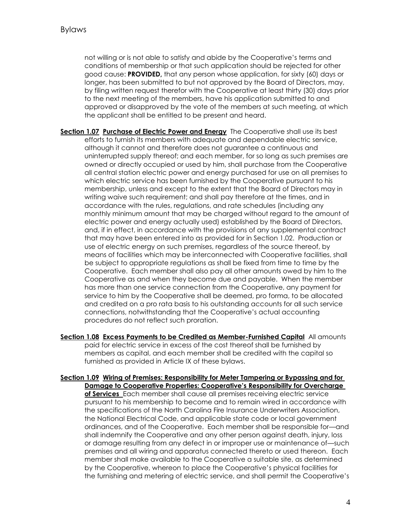not willing or is not able to satisfy and abide by the Cooperative's terms and conditions of membership or that such application should be rejected for other good cause: **PROVIDED,** that any person whose application, for sixty (60) days or longer, has been submitted to but not approved by the Board of Directors, may, by filing written request therefor with the Cooperative at least thirty (30) days prior to the next meeting of the members, have his application submitted to and approved or disapproved by the vote of the members at such meeting, at which the applicant shall be entitled to be present and heard.

- **Section 1.07 Purchase of Electric Power and Energy** The Cooperative shall use its best efforts to furnish its members with adequate and dependable electric service, although it cannot and therefore does not guarantee a continuous and uninterrupted supply thereof; and each member, for so long as such premises are owned or directly occupied or used by him, shall purchase from the Cooperative all central station electric power and energy purchased for use on all premises to which electric service has been furnished by the Cooperative pursuant to his membership, unless and except to the extent that the Board of Directors may in writing waive such requirement; and shall pay therefore at the times, and in accordance with the rules, regulations, and rate schedules (including any monthly minimum amount that may be charged without regard to the amount of electric power and energy actually used) established by the Board of Directors, and, if in effect, in accordance with the provisions of any supplemental contract that may have been entered into as provided for in Section 1.02. Production or use of electric energy on such premises, regardless of the source thereof, by means of facilities which may be interconnected with Cooperative facilities, shall be subject to appropriate regulations as shall be fixed from time to time by the Cooperative. Each member shall also pay all other amounts owed by him to the Cooperative as and when they become due and payable. When the member has more than one service connection from the Cooperative, any payment for service to him by the Cooperative shall be deemed, pro forma, to be allocated and credited on a pro rata basis to his outstanding accounts for all such service connections, notwithstanding that the Cooperative's actual accounting procedures do not reflect such proration.
- **Section 1.08 Excess Payments to be Credited as Member-Furnished Capital** All amounts paid for electric service in excess of the cost thereof shall be furnished by members as capital, and each member shall be credited with the capital so furnished as provided in Article IX of these bylaws.
- **Section 1.09 Wiring of Premises: Responsibility for Meter Tampering or Bypassing and for Damage to Cooperative Properties: Cooperative's Responsibility for Overcharge of Services** Each member shall cause all premises receiving electric service pursuant to his membership to become and to remain wired in accordance with the specifications of the North Carolina Fire Insurance Underwriters Association, the National Electrical Code, and applicable state code or local government ordinances, and of the Cooperative. Each member shall be responsible for—and shall indemnify the Cooperative and any other person against death, injury, loss or damage resulting from any defect in or improper use or maintenance of—such premises and all wiring and apparatus connected thereto or used thereon. Each member shall make available to the Cooperative a suitable site, as determined by the Cooperative, whereon to place the Cooperative's physical facilities for the furnishing and metering of electric service, and shall permit the Cooperative's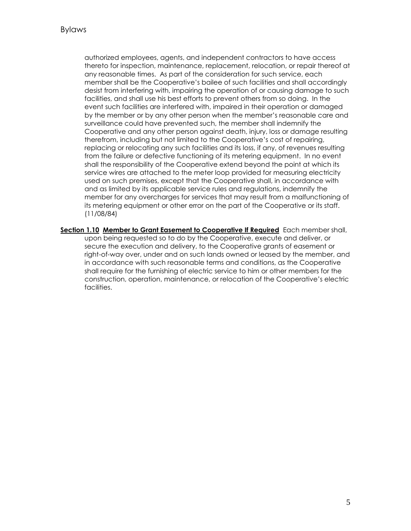authorized employees, agents, and independent contractors to have access thereto for inspection, maintenance, replacement, relocation, or repair thereof at any reasonable times. As part of the consideration for such service, each member shall be the Cooperative's bailee of such facilities and shall accordingly desist from interfering with, impairing the operation of or causing damage to such facilities, and shall use his best efforts to prevent others from so doing. In the event such facilities are interfered with, impaired in their operation or damaged by the member or by any other person when the member's reasonable care and surveillance could have prevented such, the member shall indemnify the Cooperative and any other person against death, injury, loss or damage resulting therefrom, including but not limited to the Cooperative's cost of repairing, replacing or relocating any such facilities and its loss, if any, of revenues resulting from the failure or defective functioning of its metering equipment. In no event shall the responsibility of the Cooperative extend beyond the point at which its service wires are attached to the meter loop provided for measuring electricity used on such premises, except that the Cooperative shall, in accordance with and as limited by its applicable service rules and regulations, indemnify the member for any overcharges for services that may result from a malfunctioning of its metering equipment or other error on the part of the Cooperative or its staff. (11/08/84)

**Section 1.10 Member to Grant Easement to Cooperative If Required** Each member shall, upon being requested so to do by the Cooperative, execute and deliver, or secure the execution and delivery, to the Cooperative grants of easement or right-of-way over, under and on such lands owned or leased by the member, and in accordance with such reasonable terms and conditions, as the Cooperative shall require for the furnishing of electric service to him or other members for the construction, operation, maintenance, or relocation of the Cooperative's electric facilities.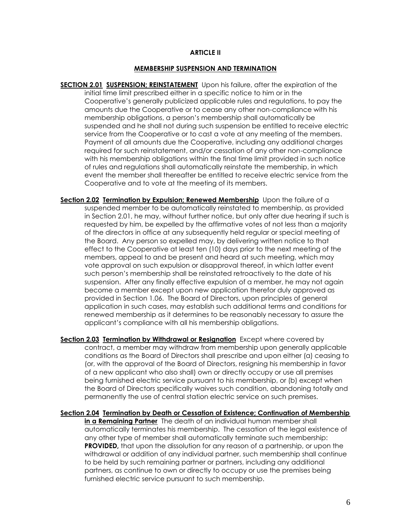#### **ARTICLE II**

#### **MEMBERSHIP SUSPENSION AND TERMINATION**

- **SECTION 2.01 SUSPENSION; REINSTATEMENT** Upon his failure, after the expiration of the initial time limit prescribed either in a specific notice to him or in the Cooperative's generally publicized applicable rules and regulations, to pay the amounts due the Cooperative or to cease any other non-compliance with his membership obligations, a person's membership shall automatically be suspended and he shall not during such suspension be entitled to receive electric service from the Cooperative or to cast a vote at any meeting of the members. Payment of all amounts due the Cooperative, including any additional charges required for such reinstatement, and/or cessation of any other non-compliance with his membership obligations within the final time limit provided in such notice of rules and regulations shall automatically reinstate the membership, in which event the member shall thereafter be entitled to receive electric service from the Cooperative and to vote at the meeting of its members.
- **Section 2.02 Termination by Expulsion; Renewed Membership** Upon the failure of a suspended member to be automatically reinstated to membership, as provided in Section 2.01, he may, without further notice, but only after due hearing if such is requested by him, be expelled by the affirmative votes of not less than a majority of the directors in office at any subsequently held regular or special meeting of the Board. Any person so expelled may, by delivering written notice to that effect to the Cooperative at least ten (10) days prior to the next meeting of the members, appeal to and be present and heard at such meeting, which may vote approval on such expulsion or disapproval thereof, in which latter event such person's membership shall be reinstated retroactively to the date of his suspension. After any finally effective expulsion of a member, he may not again become a member except upon new application therefor duly approved as provided in Section 1.06. The Board of Directors, upon principles of general application in such cases, may establish such additional terms and conditions for renewed membership as it determines to be reasonably necessary to assure the applicant's compliance with all his membership obligations.
- **Section 2.03 Termination by Withdrawal or Resignation** Except where covered by contract, a member may withdraw from membership upon generally applicable conditions as the Board of Directors shall prescribe and upon either (a) ceasing to (or, with the approval of the Board of Directors, resigning his membership in favor of a new applicant who also shall) own or directly occupy or use all premises being furnished electric service pursuant to his membership, or (b) except when the Board of Directors specifically waives such condition, abandoning totally and permanently the use of central station electric service on such premises.
- **Section 2.04 Termination by Death or Cessation of Existence; Continuation of Membership in a Remaining Partner** The death of an individual human member shall automatically terminates his membership. The cessation of the legal existence of any other type of member shall automatically terminate such membership: **PROVIDED,** that upon the dissolution for any reason of a partnership, or upon the withdrawal or addition of any individual partner, such membership shall continue to be held by such remaining partner or partners, including any additional partners, as continue to own or directly to occupy or use the premises being furnished electric service pursuant to such membership.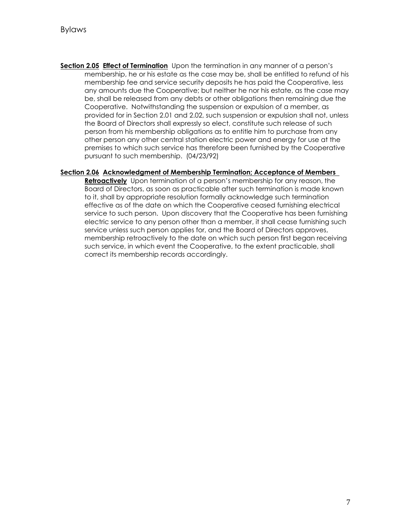**Section 2.05 Effect of Termination** Upon the termination in any manner of a person's membership, he or his estate as the case may be, shall be entitled to refund of his membership fee and service security deposits he has paid the Cooperative, less any amounts due the Cooperative; but neither he nor his estate, as the case may be, shall be released from any debts or other obligations then remaining due the Cooperative. Notwithstanding the suspension or expulsion of a member, as provided for in Section 2.01 and 2.02, such suspension or expulsion shall not, unless the Board of Directors shall expressly so elect, constitute such release of such person from his membership obligations as to entitle him to purchase from any other person any other central station electric power and energy for use at the premises to which such service has therefore been furnished by the Cooperative pursuant to such membership. (04/23/92)

#### **Section 2.06 Acknowledgment of Membership Termination; Acceptance of Members**

**Retroactively** Upon termination of a person's membership for any reason, the Board of Directors, as soon as practicable after such termination is made known to it, shall by appropriate resolution formally acknowledge such termination effective as of the date on which the Cooperative ceased furnishing electrical service to such person. Upon discovery that the Cooperative has been furnishing electric service to any person other than a member, it shall cease furnishing such service unless such person applies for, and the Board of Directors approves, membership retroactively to the date on which such person first began receiving such service, in which event the Cooperative, to the extent practicable, shall correct its membership records accordingly.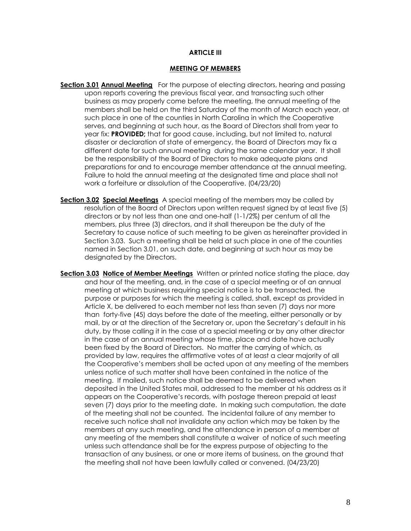#### **ARTICLE III**

#### **MEETING OF MEMBERS**

- **Section 3.01 Annual Meeting** For the purpose of electing directors, hearing and passing upon reports covering the previous fiscal year, and transacting such other business as may properly come before the meeting, the annual meeting of the members shall be held on the third Saturday of the month of March each year, at such place in one of the counties in North Carolina in which the Cooperative serves, and beginning at such hour, as the Board of Directors shall from year to year fix: **PROVIDED;** that for good cause, including, but not limited to, natural disaster or declaration of state of emergency, the Board of Directors may fix a different date for such annual meeting during the same calendar year. It shall be the responsibility of the Board of Directors to make adequate plans and preparations for and to encourage member attendance at the annual meeting. Failure to hold the annual meeting at the designated time and place shall not work a forfeiture or dissolution of the Cooperative. (04/23/20)
- **Section 3.02 Special Meetings** A special meeting of the members may be called by resolution of the Board of Directors upon written request signed by at least five (5) directors or by not less than one and one-half (1-1/2%) per centum of all the members, plus three (3) directors, and it shall thereupon be the duty of the Secretary to cause notice of such meeting to be given as hereinafter provided in Section 3.03. Such a meeting shall be held at such place in one of the counties named in Section 3.01, on such date, and beginning at such hour as may be designated by the Directors.
- **Section 3.03 Notice of Member Meetings** Written or printed notice stating the place, day and hour of the meeting, and, in the case of a special meeting or of an annual meeting at which business requiring special notice is to be transacted, the purpose or purposes for which the meeting is called, shall, except as provided in Article X, be delivered to each member not less than seven (7) days nor more than forty-five (45) days before the date of the meeting, either personally or by mail, by or at the direction of the Secretary or, upon the Secretary's default in his duty, by those calling it in the case of a special meeting or by any other director in the case of an annual meeting whose time, place and date have actually been fixed by the Board of Directors. No matter the carrying of which, as provided by law, requires the affirmative votes of at least a clear majority of all the Cooperative's members shall be acted upon at any meeting of the members unless notice of such matter shall have been contained in the notice of the meeting. If mailed, such notice shall be deemed to be delivered when deposited in the United States mail, addressed to the member at his address as it appears on the Cooperative's records, with postage thereon prepaid at least seven (7) days prior to the meeting date. In making such computation, the date of the meeting shall not be counted. The incidental failure of any member to receive such notice shall not invalidate any action which may be taken by the members at any such meeting, and the attendance in person of a member at any meeting of the members shall constitute a waiver of notice of such meeting unless such attendance shall be for the express purpose of objecting to the transaction of any business, or one or more items of business, on the ground that the meeting shall not have been lawfully called or convened. (04/23/20)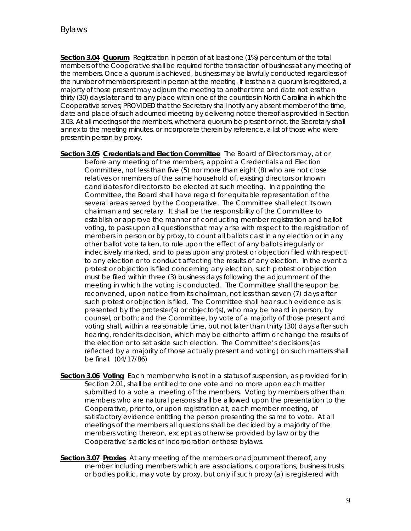**Section 3.04 Quorum** Registration in person of at least one (1%) per centum of the total members of the Cooperative shall be required for the transaction of business at any meeting of the members. Once a quorum is achieved, business may be lawfully conducted regardless of the number of members present in person at the meeting. If less than a quorum is registered, a majority of those present may adjourn the meeting to another time and date not less than thirty (30) days later and to any place within one of the counties in North Carolina in which the Cooperative serves; PROVIDED that the Secretary shall notify any absent member of the time, date and place of such adourned meeting by delivering notice thereof as provided in Section 3.03. At all meetings of the members, whether a quorum be present or not, the Secretary shall annex to the meeting minutes, or incorporate therein by reference, a list of those who were present in person by proxy.

- **Section 3.05 Credentials and Election Committee** The Board of Directors may, at or before any meeting of the members, appoint a Credentials and Election Committee, not less than five (5) nor more than eight (8) who are not close relatives or members of the same household of, existing directors or known candidates for directors to be elected at such meeting. In appointing the Committee, the Board shall have regard for equitable representation of the several areas served by the Cooperative. The Committee shall elect its own chairman and secretary. It shall be the responsibility of the Committee to establish or approve the manner of conducting member registration and ballot voting, to pass upon all questions that may arise with respect to the registration of members in person or by proxy, to count all ballots cast in any election or in any other ballot vote taken, to rule upon the effect of any ballots irregularly or indecisively marked, and to pass upon any protest or objection filed with respect to any election or to conduct affecting the results of any election. In the event a protest or objection is filed concerning any election, such protest or objection must be filed within three (3) business days following the adjournment of the meeting in which the voting is conducted. The Committee shall thereupon be reconvened, upon notice from its chairman, not less than seven (7) days after such protest or objection is filed. The Committee shall hear such evidence as is presented by the protester(s) or objector(s), who may be heard in person, by counsel, or both; and the Committee, by vote of a majority of those present and voting shall, within a reasonable time, but not later than thirty (30) days after such hearing, render its decision, which may be either to affirm or change the results of the election or to set aside such election. The Committee's decisions (as reflected by a majority of those actually present and voting) on such matters shall be final. (04/17/86)
- **Section 3.06 Voting** Each member who is not in a status of suspension, as provided for in Section 2.01, shall be entitled to one vote and no more upon each matter submitted to a vote a meeting of the members. Voting by members other than members who are natural persons shall be allowed upon the presentation to the Cooperative, prior to, or upon registration at, each member meeting, of satisfactory evidence entitling the person presenting the same to vote. At all meetings of the members all questions shall be decided by a majority of the members voting thereon, except as otherwise provided by law or by the Cooperative's articles of incorporation or these bylaws.
- **Section 3.07 Proxies** At any meeting of the members or adjournment thereof, any member including members which are associations, corporations, business trusts or bodies politic, may vote by proxy, but only if such proxy (a) is registered with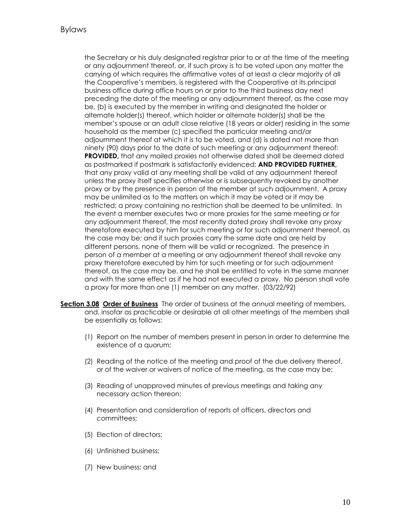the Secretary or his duly designated registrar prior to or at the time of the meeting or any adjournment thereof, or, if such proxy is to be voted upon any matter the carrying of which requires the affirmative votes of at least a clear majority of all the Cooperative's members, is registered with the Cooperative at its principal business office during office hours on or prior to the third business day next preceding the date of the meeting or any adjournment thereof, as the case may be, (b) is executed by the member in writing and designated the holder or alternate holder(s) thereof, which holder or alternate holder(s) shall be the member's spouse or an adult close relative (18 years or older) residing in the same household as the member (c) specified the particular meeting and/or adjournment thereof at which it is to be voted, and (d) is dated not more than ninety (90) days prior to the date of such meeting or any adjournment thereof: **PROVIDED,** that any mailed proxies not otherwise dated shall be deemed dated as postmarked if postmark is satisfactorily evidenced; **AND PROVIDED FURTHER,** that any proxy valid at any meeting shall be valid at any adjournment thereof unless the proxy itself specifies otherwise or is subsequently revoked by another proxy or by the presence in person of the member at such adjournment. A proxy may be unlimited as to the matters on which it may be voted or it may be restricted; a proxy containing no restriction shall be deemed to be unlimited. In the event a member executes two or more proxies for the same meeting or for any adjournment thereof, the most recently dated proxy shall revoke any proxy theretofore executed by him for such meeting or for such adjournment thereof, as the case may be; and if such proxies carry the same date and are held by different persons, none of them will be valid or recognized. The presence in person of a member at a meeting or any adjournment thereof shall revoke any proxy theretofore executed by him for such meeting or for such adjournment thereof, as the case may be, and he shall be entitled to vote in the same manner and with the same effect as if he had not executed a proxy. No person shall vote a proxy for more than one (1) member on any matter. (03/22/92)

- **Section 3.08 Order of Business** The order of business at the annual meeting of members, and, insofar as practicable or desirable at all other meetings of the members shall be essentially as follows:
	- (1) Report on the number of members present in person in order to determine the existence of a quorum;
	- (2) Reading of the notice of the meeting and proof of the due delivery thereof, or of the waiver or waivers of notice of the meeting, as the case may be;
	- (3) Reading of unapproved minutes of previous meetings and taking any necessary action thereon;
	- (4) Presentation and consideration of reports of officers, directors and committees;
	- (5) Election of directors;
	- (6) Unfinished business;
	- (7) New business; and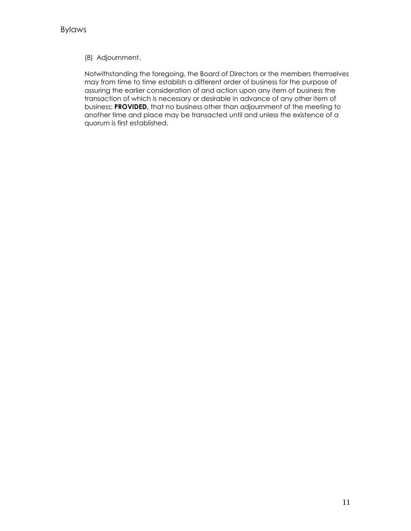## (8) Adjournment.

Notwithstanding the foregoing, the Board of Directors or the members themselves may from time to time establish a different order of business for the purpose of assuring the earlier consideration of and action upon any item of business the transaction of which is necessary or desirable in advance of any other item of business; **PROVIDED,** that no business other than adjournment of the meeting to another time and place may be transacted until and unless the existence of a quorum is first established.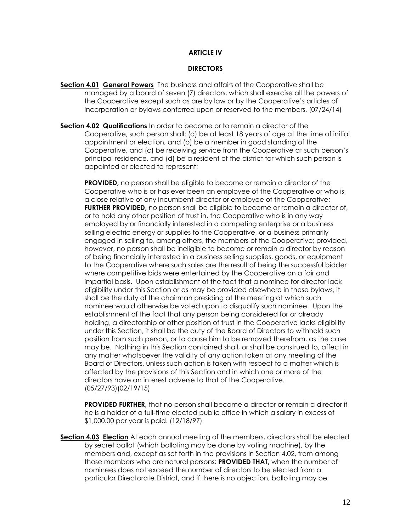#### **ARTICLE IV**

#### **DIRECTORS**

- **Section 4.01 General Powers** The business and affairs of the Cooperative shall be managed by a board of seven (7) directors, which shall exercise all the powers of the Cooperative except such as are by law or by the Cooperative's articles of incorporation or bylaws conferred upon or reserved to the members. (07/24/14)
- **Section 4.02 Qualifications** In order to become or to remain a director of the Cooperative, such person shall: (a) be at least 18 years of age at the time of initial appointment or election, and (b) be a member in good standing of the Cooperative, and (c) be receiving service from the Cooperative at such person's principal residence, and (d) be a resident of the district for which such person is appointed or elected to represent;

**PROVIDED,** no person shall be eligible to become or remain a director of the Cooperative who is or has ever been an employee of the Cooperative or who is a close relative of any incumbent director or employee of the Cooperative; **FURTHER PROVIDED**, no person shall be eligible to become or remain a director of, or to hold any other position of trust in, the Cooperative who is in any way employed by or financially interested in a competing enterprise or a business selling electric energy or supplies to the Cooperative, or a business primarily engaged in selling to, among others, the members of the Cooperative; provided, however, no person shall be ineligible to become or remain a director by reason of being financially interested in a business selling supplies, goods, or equipment to the Cooperative where such sales are the result of being the successful bidder where competitive bids were entertained by the Cooperative on a fair and impartial basis. Upon establishment of the fact that a nominee for director lack eligibility under this Section or as may be provided elsewhere in these bylaws, it shall be the duty of the chairman presiding at the meeting at which such nominee would otherwise be voted upon to disqualify such nominee. Upon the establishment of the fact that any person being considered for or already holding, a directorship or other position of trust in the Cooperative lacks eligibility under this Section, it shall be the duty of the Board of Directors to withhold such position from such person, or to cause him to be removed therefrom, as the case may be. Nothing in this Section contained shall, or shall be construed to, affect in any matter whatsoever the validity of any action taken at any meeting of the Board of Directors, unless such action is taken with respect to a matter which is affected by the provisions of this Section and in which one or more of the directors have an interest adverse to that of the Cooperative. (05/27/93)(02/19/15)

**PROVIDED FURTHER,** that no person shall become a director or remain a director if he is a holder of a full-time elected public office in which a salary in excess of \$1,000.00 per year is paid. (12/18/97)

**Section 4.03 Election** At each annual meeting of the members, directors shall be elected by secret ballot (which balloting may be done by voting machine), by the members and, except as set forth in the provisions in Section 4.02, from among those members who are natural persons: **PROVIDED THAT,** when the number of nominees does not exceed the number of directors to be elected from a particular Directorate District, and if there is no objection, balloting may be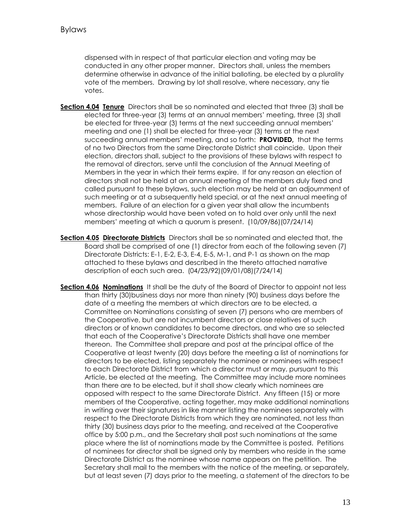dispensed with in respect of that particular election and voting may be conducted in any other proper manner. Directors shall, unless the members determine otherwise in advance of the initial balloting, be elected by a plurality vote of the members. Drawing by lot shall resolve, where necessary, any tie votes.

- **Section 4.04 Tenure** Directors shall be so nominated and elected that three (3) shall be elected for three-year (3) terms at an annual members' meeting, three (3) shall be elected for three-year (3) terms at the next succeeding annual members' meeting and one (1) shall be elected for three-year (3) terms at the next succeeding annual members' meeting, and so forth: **PROVIDED,** that the terms of no two Directors from the same Directorate District shall coincide. Upon their election, directors shall, subject to the provisions of these bylaws with respect to the removal of directors, serve until the conclusion of the Annual Meeting of Members in the year in which their terms expire. If for any reason an election of directors shall not be held at an annual meeting of the members duly fixed and called pursuant to these bylaws, such election may be held at an adjournment of such meeting or at a subsequently held special, or at the next annual meeting of members. Failure of an election for a given year shall allow the incumbents whose directorship would have been voted on to hold over only until the next members' meeting at which a quorum is present. (10/09/86)(07/24/14)
- **Section 4.05 Directorate Districts** Directors shall be so nominated and elected that, the Board shall be comprised of one (1) director from each of the following seven (7) Directorate Districts: E-1, E-2, E-3, E-4, E-5, M-1, and P-1 as shown on the map attached to these bylaws and described in the thereto attached narrative description of each such area. (04/23/92)(09/01/08)(7/24/14)
- **Section 4.06 Nominations** It shall be the duty of the Board of Director to appoint not less than thirty (30)business days nor more than ninety (90) business days before the date of a meeting the members at which directors are to be elected, a Committee on Nominations consisting of seven (7) persons who are members of the Cooperative, but are not incumbent directors or close relatives of such directors or of known candidates to become directors, and who are so selected that each of the Cooperative's Directorate Districts shall have one member thereon. The Committee shall prepare and post at the principal office of the Cooperative at least twenty (20) days before the meeting a list of nominations for directors to be elected, listing separately the nominee or nominees with respect to each Directorate District from which a director must or may, pursuant to this Article, be elected at the meeting. The Committee may include more nominees than there are to be elected, but it shall show clearly which nominees are opposed with respect to the same Directorate District. Any fifteen (15) or more members of the Cooperative, acting together, may make additional nominations in writing over their signatures in like manner listing the nominees separately with respect to the Directorate Districts from which they are nominated, not less than thirty (30) business days prior to the meeting, and received at the Cooperative office by 5:00 p.m., and the Secretary shall post such nominations at the same place where the list of nominations made by the Committee is posted. Petitions of nominees for director shall be signed only by members who reside in the same Directorate District as the nominee whose name appears on the petition. The Secretary shall mail to the members with the notice of the meeting, or separately, but at least seven (7) days prior to the meeting, a statement of the directors to be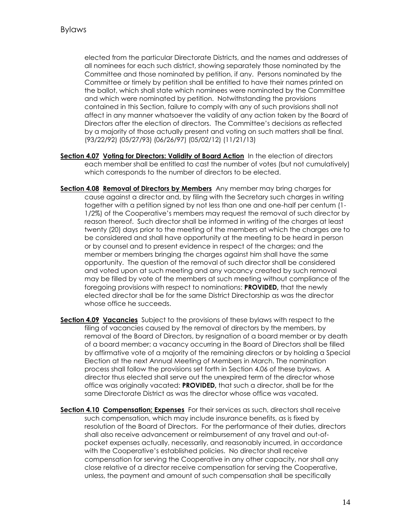elected from the particular Directorate Districts, and the names and addresses of all nominees for each such district, showing separately those nominated by the Committee and those nominated by petition, if any. Persons nominated by the Committee or timely by petition shall be entitled to have their names printed on the ballot, which shall state which nominees were nominated by the Committee and which were nominated by petition. Notwithstanding the provisions contained in this Section, failure to comply with any of such provisions shall not affect in any manner whatsoever the validity of any action taken by the Board of Directors after the election of directors. The Committee's decisions as reflected by a majority of those actually present and voting on such matters shall be final. (93/22/92) (05/27/93) (06/26/97) (05/02/12) (11/21/13)

- **Section 4.07 Voting for Directors: Validity of Board Action** In the election of directors each member shall be entitled to cast the number of votes (but not cumulatively) which corresponds to the number of directors to be elected.
- **Section 4.08 Removal of Directors by Members** Any member may bring charges for cause against a director and, by filing with the Secretary such charges in writing together with a petition signed by not less than one and one-half per centum (1- 1/2%) of the Cooperative's members may request the removal of such director by reason thereof. Such director shall be informed in writing of the charges at least twenty (20) days prior to the meeting of the members at which the charges are to be considered and shall have opportunity at the meeting to be heard in person or by counsel and to present evidence in respect of the charges; and the member or members bringing the charges against him shall have the same opportunity. The question of the removal of such director shall be considered and voted upon at such meeting and any vacancy created by such removal may be filled by vote of the members at such meeting without compliance of the foregoing provisions with respect to nominations: **PROVIDED,** that the newly elected director shall be for the same District Directorship as was the director whose office he succeeds.
- **Section 4.09 Vacancies** Subject to the provisions of these bylaws with respect to the filing of vacancies caused by the removal of directors by the members, by removal of the Board of Directors, by resignation of a board member or by death of a board member; a vacancy occurring in the Board of Directors shall be filled by affirmative vote of a majority of the remaining directors or by holding a Special Election at the next Annual Meeting of Members in March. The nomination process shall follow the provisions set forth in Section 4.06 of these bylaws. A director thus elected shall serve out the unexpired term of the director whose office was originally vacated: **PROVIDED,** that such a director, shall be for the same Directorate District as was the director whose office was vacated.
- **Section 4.10 Compensation; Expenses** For their services as such, directors shall receive such compensation, which may include insurance benefits, as is fixed by resolution of the Board of Directors. For the performance of their duties, directors shall also receive advancement or reimbursement of any travel and out-ofpocket expenses actually, necessarily, and reasonably incurred, in accordance with the Cooperative's established policies. No director shall receive compensation for serving the Cooperative in any other capacity, nor shall any close relative of a director receive compensation for serving the Cooperative, unless, the payment and amount of such compensation shall be specifically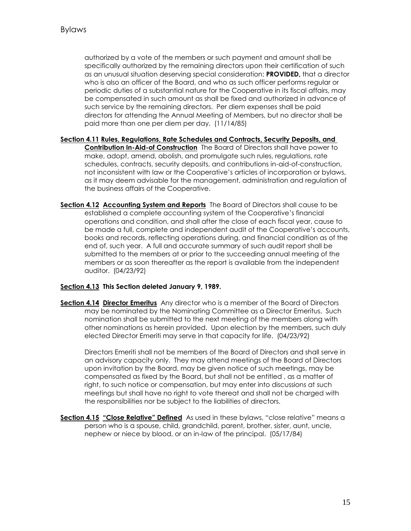authorized by a vote of the members or such payment and amount shall be specifically authorized by the remaining directors upon their certification of such as an unusual situation deserving special consideration: **PROVIDED,** that a director who is also an officer of the Board, and who as such officer performs regular or periodic duties of a substantial nature for the Cooperative in its fiscal affairs, may be compensated in such amount as shall be fixed and authorized in advance of such service by the remaining directors. Per diem expenses shall be paid directors for attending the Annual Meeting of Members, but no director shall be paid more than one per diem per day. (11/14/85)

- **Section 4.11 Rules, Regulations, Rate Schedules and Contracts, Security Deposits, and Contribution In-Aid-of Construction** The Board of Directors shall have power to make, adopt, amend, abolish, and promulgate such rules, regulations, rate schedules, contracts, security deposits, and contributions in-aid-of-construction, not inconsistent with law or the Cooperative's articles of incorporation or bylaws, as it may deem advisable for the management, administration and regulation of the business affairs of the Cooperative.
- **Section 4.12 Accounting System and Reports** The Board of Directors shall cause to be established a complete accounting system of the Cooperative's financial operations and condition, and shall after the close of each fiscal year, cause to be made a full, complete and independent audit of the Cooperative's accounts, books and records, reflecting operations during, and financial condition as of the end of, such year. A full and accurate summary of such audit report shall be submitted to the members at or prior to the succeeding annual meeting of the members or as soon thereafter as the report is available from the independent auditor. (04/23/92)

#### **Section 4.13 This Section deleted January 9, 1989.**

**Section 4.14 Director Emeritus** Any director who is a member of the Board of Directors may be nominated by the Nominating Committee as a Director Emeritus. Such nomination shall be submitted to the next meeting of the members along with other nominations as herein provided. Upon election by the members, such duly elected Director Emeriti may serve in that capacity for life. (04/23/92)

Directors Emeriti shall not be members of the Board of Directors and shall serve in an advisory capacity only. They may attend meetings of the Board of Directors upon invitation by the Board, may be given notice of such meetings, may be compensated as fixed by the Board, but shall not be entitled , as a matter of right, to such notice or compensation, but may enter into discussions at such meetings but shall have no right to vote thereat and shall not be charged with the responsibilities nor be subject to the liabilities of directors.

**Section 4.15 "Close Relative" Defined** As used in these bylaws, "close relative" means a person who is a spouse, child, grandchild, parent, brother, sister, aunt, uncle, nephew or niece by blood, or an in-law of the principal. (05/17/84)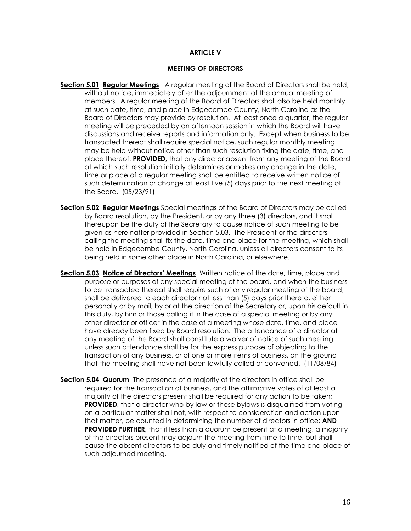#### **ARTICLE V**

#### **MEETING OF DIRECTORS**

- **Section 5.01 Regular Meetings** A regular meeting of the Board of Directors shall be held, without notice, immediately after the adjournment of the annual meeting of members. A regular meeting of the Board of Directors shall also be held monthly at such date, time, and place in Edgecombe County, North Carolina as the Board of Directors may provide by resolution. At least once a quarter, the regular meeting will be preceded by an afternoon session in which the Board will have discussions and receive reports and information only. Except when business to be transacted thereat shall require special notice, such regular monthly meeting may be held without notice other than such resolution fixing the date, time, and place thereof: **PROVIDED,** that any director absent from any meeting of the Board at which such resolution initially determines or makes any change in the date, time or place of a regular meeting shall be entitled to receive written notice of such determination or change at least five (5) days prior to the next meeting of the Board. (05/23/91)
- **Section 5.02 Regular Meetings** Special meetings of the Board of Directors may be called by Board resolution, by the President, or by any three (3) directors, and it shall thereupon be the duty of the Secretary to cause notice of such meeting to be given as hereinafter provided in Section 5.03. The President or the directors calling the meeting shall fix the date, time and place for the meeting, which shall be held in Edgecombe County, North Carolina, unless all directors consent to its being held in some other place in North Carolina, or elsewhere.
- **Section 5.03 Notice of Directors' Meetings** Written notice of the date, time, place and purpose or purposes of any special meeting of the board, and when the business to be transacted thereat shall require such of any regular meeting of the board, shall be delivered to each director not less than (5) days prior thereto, either personally or by mail, by or at the direction of the Secretary or, upon his default in this duty, by him or those calling it in the case of a special meeting or by any other director or officer in the case of a meeting whose date, time, and place have already been fixed by Board resolution. The attendance of a director at any meeting of the Board shall constitute a waiver of notice of such meeting unless such attendance shall be for the express purpose of objecting to the transaction of any business, or of one or more items of business, on the ground that the meeting shall have not been lawfully called or convened. (11/08/84)
- **Section 5.04 Quorum** The presence of a majority of the directors in office shall be required for the transaction of business, and the affirmative votes of at least a majority of the directors present shall be required for any action to be taken; **PROVIDED,** that a director who by law or these bylaws is disqualified from voting on a particular matter shall not, with respect to consideration and action upon that matter, be counted in determining the number of directors in office; **AND PROVIDED FURTHER,** that if less than a quorum be present at a meeting, a majority of the directors present may adjourn the meeting from time to time, but shall cause the absent directors to be duly and timely notified of the time and place of such adjourned meeting.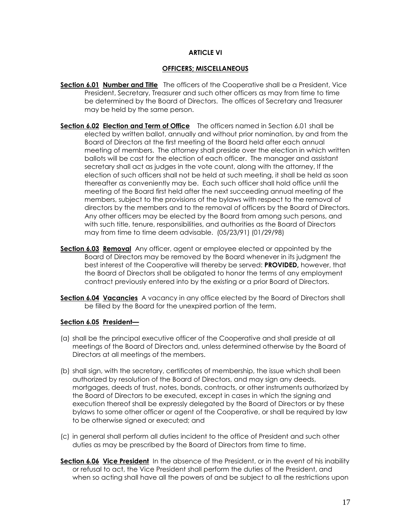#### **ARTICLE VI**

#### **OFFICERS; MISCELLANEOUS**

- **Section 6.01 Number and Title** The officers of the Cooperative shall be a President, Vice President, Secretary, Treasurer and such other officers as may from time to time be determined by the Board of Directors. The offices of Secretary and Treasurer may be held by the same person.
- **Section 6.02 Election and Term of Office** The officers named in Section 6.01 shall be elected by written ballot, annually and without prior nomination, by and from the Board of Directors at the first meeting of the Board held after each annual meeting of members. The attorney shall preside over the election in which written ballots will be cast for the election of each officer. The manager and assistant secretary shall act as judges in the vote count, along with the attorney, If the election of such officers shall not be held at such meeting, it shall be held as soon thereafter as conveniently may be. Each such officer shall hold office until the meeting of the Board first held after the next succeeding annual meeting of the members, subject to the provisions of the bylaws with respect to the removal of directors by the members and to the removal of officers by the Board of Directors. Any other officers may be elected by the Board from among such persons, and with such title, tenure, responsibilities, and authorities as the Board of Directors may from time to time deem advisable. (05/23/91) (01/29/98)
- **Section 6.03 Removal** Any officer, agent or employee elected or appointed by the Board of Directors may be removed by the Board whenever in its judgment the best interest of the Cooperative will thereby be served: **PROVIDED,** however, that the Board of Directors shall be obligated to honor the terms of any employment contract previously entered into by the existing or a prior Board of Directors.
- **Section 6.04 Vacancies** A vacancy in any office elected by the Board of Directors shall be filled by the Board for the unexpired portion of the term.

#### **Section 6.05 President—**

- (a) shall be the principal executive officer of the Cooperative and shall preside at all meetings of the Board of Directors and, unless determined otherwise by the Board of Directors at all meetings of the members.
- (b) shall sign, with the secretary, certificates of membership, the issue which shall been authorized by resolution of the Board of Directors, and may sign any deeds, mortgages, deeds of trust, notes, bonds, contracts, or other instruments authorized by the Board of Directors to be executed, except in cases in which the signing and execution thereof shall be expressly delegated by the Board of Directors or by these bylaws to some other officer or agent of the Cooperative, or shall be required by law to be otherwise signed or executed; and
- (c) in general shall perform all duties incident to the office of President and such other duties as may be prescribed by the Board of Directors from time to time.
- **Section 6.06 Vice President** In the absence of the President, or in the event of his inability or refusal to act, the Vice President shall perform the duties of the President, and when so acting shall have all the powers of and be subject to all the restrictions upon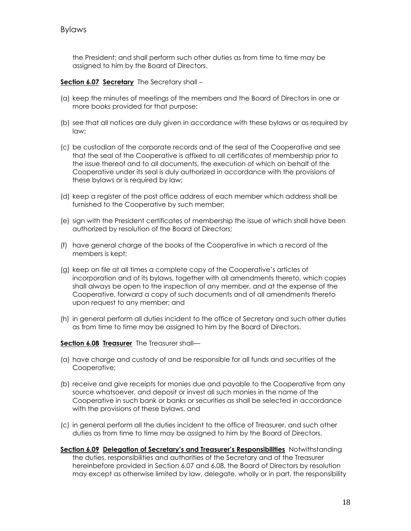the President; and shall perform such other duties as from time to time may be assigned to him by the Board of Directors.

#### **Section 6.07 Secretary** The Secretary shall –

- (a) keep the minutes of meetings of the members and the Board of Directors in one or more books provided for that purpose;
- (b) see that all notices are duly given in accordance with these bylaws or as required by law;
- (c) be custodian of the corporate records and of the seal of the Cooperative and see that the seal of the Cooperative is affixed to all certificates of membership prior to the issue thereof and to all documents, the execution of which on behalf of the Cooperative under its seal is duly authorized in accordance with the provisions of these bylaws or is required by law;
- (d) keep a register of the post office address of each member which address shall be furnished to the Cooperative by such member;
- (e) sign with the President certificates of membership the issue of which shall have been authorized by resolution of the Board of Directors;
- (f) have general charge of the books of the Cooperative in which a record of the members is kept;
- (g) keep on file at all times a complete copy of the Cooperative's articles of incorporation and of its bylaws, together with all amendments thereto, which copies shall always be open to the inspection of any member, and at the expense of the Cooperative, forward a copy of such documents and of all amendments thereto upon request to any member; and
- (h) in general perform all duties incident to the office of Secretary and such other duties as from time to time may be assigned to him by the Board of Directors.

#### **Section 6.08 Treasurer** The Treasurer shall—

- (a) have charge and custody of and be responsible for all funds and securities of the Cooperative;
- (b) receive and give receipts for monies due and payable to the Cooperative from any source whatsoever, and deposit or invest all such monies in the name of the Cooperative in such bank or banks or securities as shall be selected in accordance with the provisions of these bylaws, and
- (c) in general perform all the duties incident to the office of Treasurer, and such other duties as from time to time may be assigned to him by the Board of Directors.
- **Section 6.09 Delegation of Secretary's and Treasurer's Responsibilities** Notwithstanding the duties, responsibilities and authorities of the Secretary and of the Treasurer hereinbefore provided in Section 6.07 and 6.08, the Board of Directors by resolution may except as otherwise limited by law, delegate, wholly or in part, the responsibility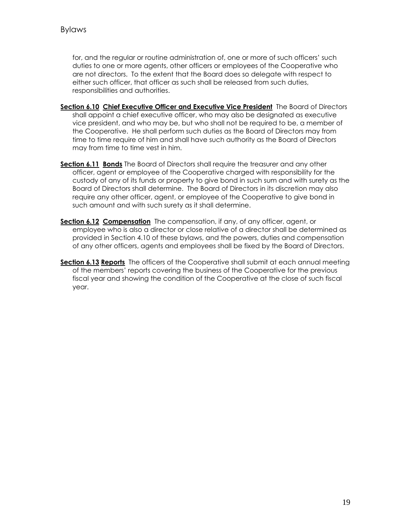for, and the regular or routine administration of, one or more of such officers' such duties to one or more agents, other officers or employees of the Cooperative who are not directors. To the extent that the Board does so delegate with respect to either such officer, that officer as such shall be released from such duties, responsibilities and authorities.

- **Section 6.10 Chief Executive Officer and Executive Vice President** The Board of Directors shall appoint a chief executive officer, who may also be designated as executive vice president, and who may be, but who shall not be required to be, a member of the Cooperative. He shall perform such duties as the Board of Directors may from time to time require of him and shall have such authority as the Board of Directors may from time to time vest in him.
- **Section 6.11 Bonds** The Board of Directors shall require the treasurer and any other officer, agent or employee of the Cooperative charged with responsibility for the custody of any of its funds or property to give bond in such sum and with surety as the Board of Directors shall determine. The Board of Directors in its discretion may also require any other officer, agent, or employee of the Cooperative to give bond in such amount and with such surety as it shall determine.
- **Section 6.12 Compensation** The compensation, if any, of any officer, agent, or employee who is also a director or close relative of a director shall be determined as provided in Section 4.10 of these bylaws, and the powers, duties and compensation of any other officers, agents and employees shall be fixed by the Board of Directors.
- **Section 6.13 Reports** The officers of the Cooperative shall submit at each annual meeting of the members' reports covering the business of the Cooperative for the previous fiscal year and showing the condition of the Cooperative at the close of such fiscal year.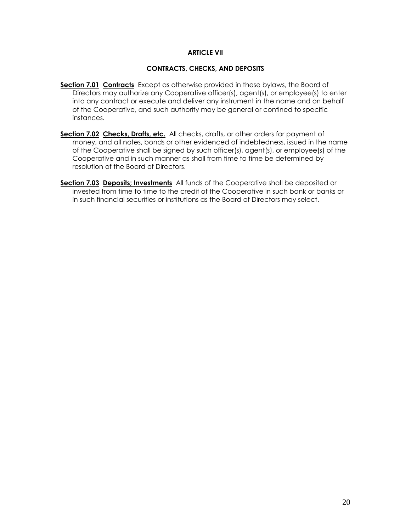#### **ARTICLE VII**

#### **CONTRACTS, CHECKS, AND DEPOSITS**

- **Section 7.01 Contracts** Except as otherwise provided in these bylaws, the Board of Directors may authorize any Cooperative officer(s), agent(s), or employee(s) to enter into any contract or execute and deliver any instrument in the name and on behalf of the Cooperative, and such authority may be general or confined to specific instances.
- **Section 7.02 Checks, Drafts, etc.** All checks, drafts, or other orders for payment of money, and all notes, bonds or other evidenced of indebtedness, issued in the name of the Cooperative shall be signed by such officer(s), agent(s), or employee(s) of the Cooperative and in such manner as shall from time to time be determined by resolution of the Board of Directors.
- **Section 7.03 Deposits; Investments** All funds of the Cooperative shall be deposited or invested from time to time to the credit of the Cooperative in such bank or banks or in such financial securities or institutions as the Board of Directors may select.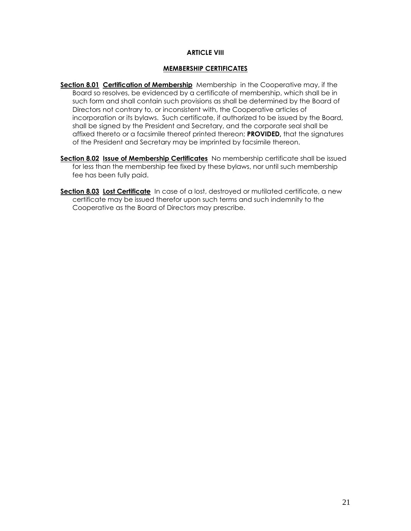#### **ARTICLE VIII**

#### **MEMBERSHIP CERTIFICATES**

- **Section 8.01 Certification of Membership** Membership in the Cooperative may, if the Board so resolves, be evidenced by a certificate of membership, which shall be in such form and shall contain such provisions as shall be determined by the Board of Directors not contrary to, or inconsistent with, the Cooperative articles of incorporation or its bylaws. Such certificate, if authorized to be issued by the Board, shall be signed by the President and Secretary, and the corporate seal shall be affixed thereto or a facsimile thereof printed thereon; **PROVIDED,** that the signatures of the President and Secretary may be imprinted by facsimile thereon.
- Section 8.02 Issue of Membership Certificates No membership certificate shall be issued for less than the membership fee fixed by these bylaws, nor until such membership fee has been fully paid.
- **Section 8.03 Lost Certificate** In case of a lost, destroyed or mutilated certificate, a new certificate may be issued therefor upon such terms and such indemnity to the Cooperative as the Board of Directors may prescribe.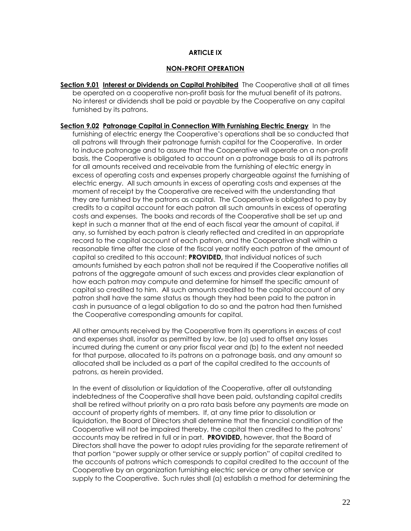#### **ARTICLE IX**

#### **NON-PROFIT OPERATION**

**Section 9.01 Interest or Dividends on Capital Prohibited** The Cooperative shall at all times be operated on a cooperative non-profit basis for the mutual benefit of its patrons. No interest or dividends shall be paid or payable by the Cooperative on any capital furnished by its patrons.

**Section 9.02 Patronage Capital in Connection With Furnishing Electric Energy** In the furnishing of electric energy the Cooperative's operations shall be so conducted that all patrons will through their patronage furnish capital for the Cooperative. In order to induce patronage and to assure that the Cooperative will operate on a non-profit basis, the Cooperative is obligated to account on a patronage basis to all its patrons for all amounts received and receivable from the furnishing of electric energy in excess of operating costs and expenses properly chargeable against the furnishing of electric energy. All such amounts in excess of operating costs and expenses at the moment of receipt by the Cooperative are received with the understanding that they are furnished by the patrons as capital. The Cooperative is obligated to pay by credits to a capital account for each patron all such amounts in excess of operating costs and expenses. The books and records of the Cooperative shall be set up and kept in such a manner that at the end of each fiscal year the amount of capital, if any, so furnished by each patron is clearly reflected and credited in an appropriate record to the capital account of each patron, and the Cooperative shall within a reasonable time after the close of the fiscal year notify each patron of the amount of capital so credited to this account; **PROVIDED,** that individual notices of such amounts furnished by each patron shall not be required if the Cooperative notifies all patrons of the aggregate amount of such excess and provides clear explanation of how each patron may compute and determine for himself the specific amount of capital so credited to him. All such amounts credited to the capital account of any patron shall have the same status as though they had been paid to the patron in cash in pursuance of a legal obligation to do so and the patron had then furnished the Cooperative corresponding amounts for capital.

All other amounts received by the Cooperative from its operations in excess of cost and expenses shall, insofar as permitted by law, be (a) used to offset any losses incurred during the current or any prior fiscal year and (b) to the extent not needed for that purpose, allocated to its patrons on a patronage basis, and any amount so allocated shall be included as a part of the capital credited to the accounts of patrons, as herein provided.

In the event of dissolution or liquidation of the Cooperative, after all outstanding indebtedness of the Cooperative shall have been paid, outstanding capital credits shall be retired without priority on a pro rata basis before any payments are made on account of property rights of members. If, at any time prior to dissolution or liquidation, the Board of Directors shall determine that the financial condition of the Cooperative will not be impaired thereby, the capital then credited to the patrons' accounts may be retired in full or in part. **PROVIDED,** however, that the Board of Directors shall have the power to adopt rules providing for the separate retirement of that portion "power supply or other service or supply portion" of capital credited to the accounts of patrons which corresponds to capital credited to the account of the Cooperative by an organization furnishing electric service or any other service or supply to the Cooperative. Such rules shall (a) establish a method for determining the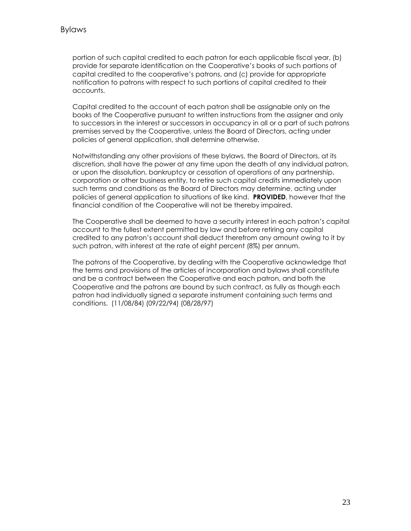portion of such capital credited to each patron for each applicable fiscal year, (b) provide for separate identification on the Cooperative's books of such portions of capital credited to the cooperative's patrons, and (c) provide for appropriate notification to patrons with respect to such portions of capital credited to their accounts.

Capital credited to the account of each patron shall be assignable only on the books of the Cooperative pursuant to written instructions from the assigner and only to successors in the interest or successors in occupancy in all or a part of such patrons premises served by the Cooperative, unless the Board of Directors, acting under policies of general application, shall determine otherwise.

Notwithstanding any other provisions of these bylaws, the Board of Directors, at its discretion, shall have the power at any time upon the death of any individual patron, or upon the dissolution, bankruptcy or cessation of operations of any partnership, corporation or other business entity, to retire such capital credits immediately upon such terms and conditions as the Board of Directors may determine, acting under policies of general application to situations of like kind. **PROVIDED**, however that the financial condition of the Cooperative will not be thereby impaired.

The Cooperative shall be deemed to have a security interest in each patron's capital account to the fullest extent permitted by law and before retiring any capital credited to any patron's account shall deduct therefrom any amount owing to it by such patron, with interest at the rate of eight percent (8%) per annum.

The patrons of the Cooperative, by dealing with the Cooperative acknowledge that the terms and provisions of the articles of incorporation and bylaws shall constitute and be a contract between the Cooperative and each patron, and both the Cooperative and the patrons are bound by such contract, as fully as though each patron had individually signed a separate instrument containing such terms and conditions. (11/08/84) (09/22/94) (08/28/97)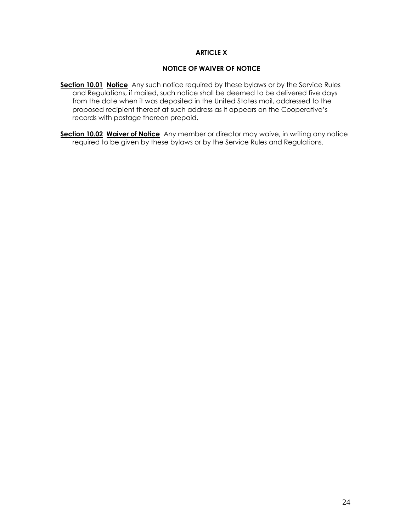#### **ARTICLE X**

#### **NOTICE OF WAIVER OF NOTICE**

- **Section 10.01 Notice** Any such notice required by these bylaws or by the Service Rules and Regulations, if mailed, such notice shall be deemed to be delivered five days from the date when it was deposited in the United States mail, addressed to the proposed recipient thereof at such address as it appears on the Cooperative's records with postage thereon prepaid.
- **Section 10.02 Waiver of Notice** Any member or director may waive, in writing any notice required to be given by these bylaws or by the Service Rules and Regulations.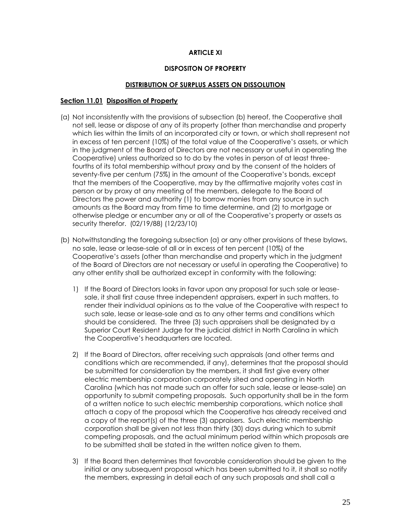#### **ARTICLE XI**

#### **DISPOSITON OF PROPERTY**

#### **DISTRIBUTION OF SURPLUS ASSETS ON DISSOLUTION**

#### **Section 11.01 Disposition of Property**

- (a) Not inconsistently with the provisions of subsection (b) hereof, the Cooperative shall not sell, lease or dispose of any of its property (other than merchandise and property which lies within the limits of an incorporated city or town, or which shall represent not in excess of ten percent (10%) of the total value of the Cooperative's assets, or which in the judgment of the Board of Directors are not necessary or useful in operating the Cooperative) unless authorized so to do by the votes in person of at least threefourths of its total membership without proxy and by the consent of the holders of seventy-five per centum (75%) in the amount of the Cooperative's bonds, except that the members of the Cooperative, may by the affirmative majority votes cast in person or by proxy at any meeting of the members, delegate to the Board of Directors the power and authority (1) to borrow monies from any source in such amounts as the Board may from time to time determine, and (2) to mortgage or otherwise pledge or encumber any or all of the Cooperative's property or assets as security therefor. (02/19/88) (12/23/10)
- (b) Notwithstanding the foregoing subsection (a) or any other provisions of these bylaws, no sale, lease or lease-sale of all or in excess of ten percent (10%) of the Cooperative's assets (other than merchandise and property which in the judgment of the Board of Directors are not necessary or useful in operating the Cooperative) to any other entity shall be authorized except in conformity with the following:
	- 1) If the Board of Directors looks in favor upon any proposal for such sale or leasesale, it shall first cause three independent appraisers, expert in such matters, to render their individual opinions as to the value of the Cooperative with respect to such sale, lease or lease-sale and as to any other terms and conditions which should be considered. The three (3) such appraisers shall be designated by a Superior Court Resident Judge for the judicial district in North Carolina in which the Cooperative's headquarters are located.
	- 2) If the Board of Directors, after receiving such appraisals (and other terms and conditions which are recommended, if any), determines that the proposal should be submitted for consideration by the members, it shall first give every other electric membership corporation corporately sited and operating in North Carolina (which has not made such an offer for such sale, lease or lease-sale) an opportunity to submit competing proposals. Such opportunity shall be in the form of a written notice to such electric membership corporations, which notice shall attach a copy of the proposal which the Cooperative has already received and a copy of the report(s) of the three (3) appraisers. Such electric membership corporation shall be given not less than thirty (30) days during which to submit competing proposals, and the actual minimum period within which proposals are to be submitted shall be stated in the written notice given to them.
	- 3) If the Board then determines that favorable consideration should be given to the initial or any subsequent proposal which has been submitted to it, it shall so notify the members, expressing in detail each of any such proposals and shall call a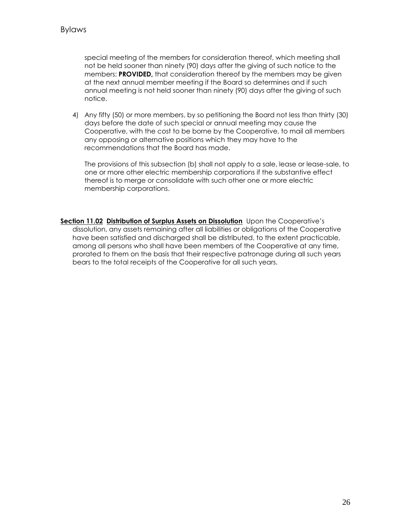special meeting of the members for consideration thereof, which meeting shall not be held sooner than ninety (90) days after the giving of such notice to the members: **PROVIDED,** that consideration thereof by the members may be given at the next annual member meeting if the Board so determines and if such annual meeting is not held sooner than ninety (90) days after the giving of such notice.

4) Any fifty (50) or more members, by so petitioning the Board not less than thirty (30) days before the date of such special or annual meeting may cause the Cooperative, with the cost to be borne by the Cooperative, to mail all members any opposing or alternative positions which they may have to the recommendations that the Board has made.

The provisions of this subsection (b) shall not apply to a sale, lease or lease-sale, to one or more other electric membership corporations if the substantive effect thereof is to merge or consolidate with such other one or more electric membership corporations.

**Section 11.02 Distribution of Surplus Assets on Dissolution** Upon the Cooperative's dissolution, any assets remaining after all liabilities or obligations of the Cooperative have been satisfied and discharged shall be distributed, to the extent practicable, among all persons who shall have been members of the Cooperative at any time, prorated to them on the basis that their respective patronage during all such years bears to the total receipts of the Cooperative for all such years.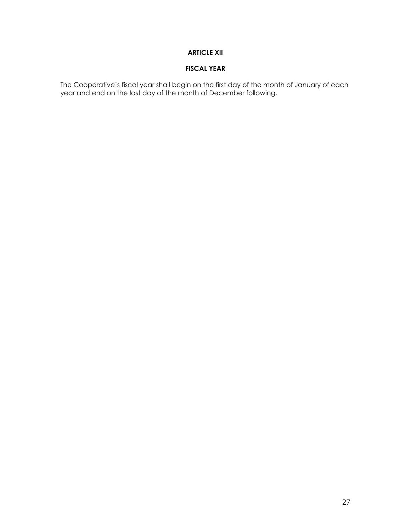# **ARTICLE XII**

# **FISCAL YEAR**

The Cooperative's fiscal year shall begin on the first day of the month of January of each year and end on the last day of the month of December following.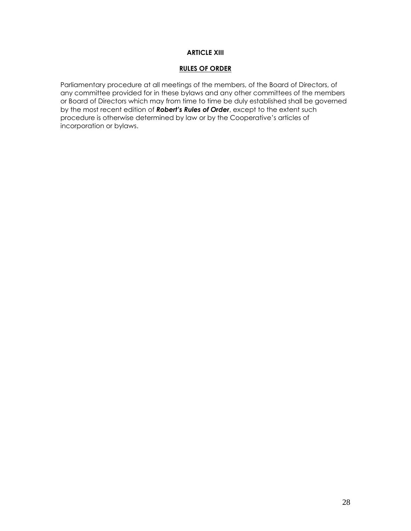#### **ARTICLE XIII**

#### **RULES OF ORDER**

Parliamentary procedure at all meetings of the members, of the Board of Directors, of any committee provided for in these bylaws and any other committees of the members or Board of Directors which may from time to time be duly established shall be governed by the most recent edition of *Robert's Rules of Order*, except to the extent such procedure is otherwise determined by law or by the Cooperative's articles of incorporation or bylaws.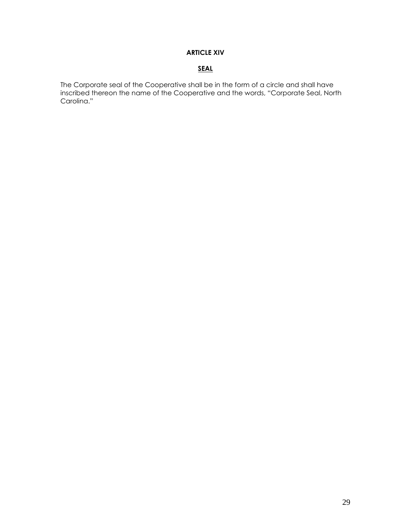# **ARTICLE XIV**

# **SEAL**

The Corporate seal of the Cooperative shall be in the form of a circle and shall have inscribed thereon the name of the Cooperative and the words, "Corporate Seal, North Carolina."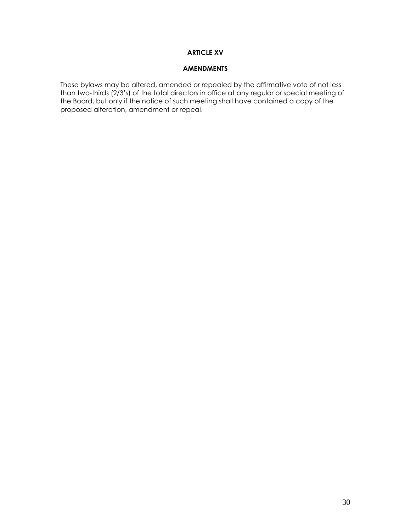#### **ARTICLE XV**

#### **AMENDMENTS**

These bylaws may be altered, amended or repealed by the affirmative vote of not less than two-thirds (2/3's) of the total directors in office at any regular or special meeting of the Board, but only if the notice of such meeting shall have contained a copy of the proposed alteration, amendment or repeal.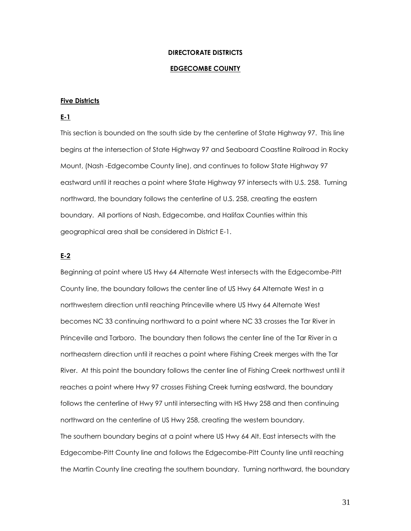#### **DIRECTORATE DISTRICTS**

#### **EDGECOMBE COUNTY**

#### **Five Districts**

#### **E-1**

This section is bounded on the south side by the centerline of State Highway 97. This line begins at the intersection of State Highway 97 and Seaboard Coastline Railroad in Rocky Mount, (Nash -Edgecombe County line), and continues to follow State Highway 97 eastward until it reaches a point where State Highway 97 intersects with U.S. 258. Turning northward, the boundary follows the centerline of U.S. 258, creating the eastern boundary. All portions of Nash, Edgecombe, and Halifax Counties within this geographical area shall be considered in District E-1.

#### **E-2**

Beginning at point where US Hwy 64 Alternate West intersects with the Edgecombe-Pitt County line, the boundary follows the center line of US Hwy 64 Alternate West in a northwestern direction until reaching Princeville where US Hwy 64 Alternate West becomes NC 33 continuing northward to a point where NC 33 crosses the Tar River in Princeville and Tarboro. The boundary then follows the center line of the Tar River in a northeastern direction until it reaches a point where Fishing Creek merges with the Tar River. At this point the boundary follows the center line of Fishing Creek northwest until it reaches a point where Hwy 97 crosses Fishing Creek turning eastward, the boundary follows the centerline of Hwy 97 until intersecting with HS Hwy 258 and then continuing northward on the centerline of US Hwy 258, creating the western boundary. The southern boundary begins at a point where US Hwy 64 Alt. East intersects with the Edgecombe-Pitt County line and follows the Edgecombe-Pitt County line until reaching the Martin County line creating the southern boundary. Turning northward, the boundary

31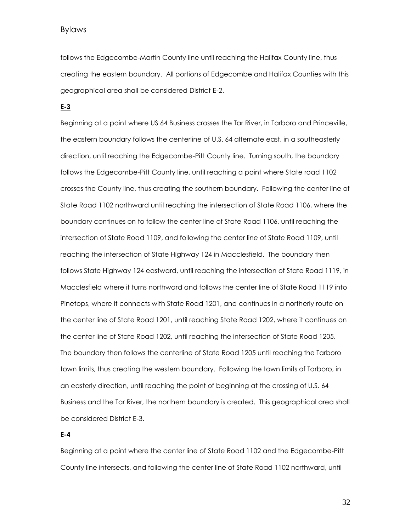Bylaws

follows the Edgecombe-Martin County line until reaching the Halifax County line, thus creating the eastern boundary. All portions of Edgecombe and Halifax Counties with this geographical area shall be considered District E-2.

**E-3**

Beginning at a point where US 64 Business crosses the Tar River, in Tarboro and Princeville, the eastern boundary follows the centerline of U.S. 64 alternate east, in a southeasterly direction, until reaching the Edgecombe-Pitt County line. Turning south, the boundary follows the Edgecombe-Pitt County line, until reaching a point where State road 1102 crosses the County line, thus creating the southern boundary. Following the center line of State Road 1102 northward until reaching the intersection of State Road 1106, where the boundary continues on to follow the center line of State Road 1106, until reaching the intersection of State Road 1109, and following the center line of State Road 1109, until reaching the intersection of State Highway 124 in Macclesfield. The boundary then follows State Highway 124 eastward, until reaching the intersection of State Road 1119, in Macclesfield where it turns northward and follows the center line of State Road 1119 into Pinetops, where it connects with State Road 1201, and continues in a northerly route on the center line of State Road 1201, until reaching State Road 1202, where it continues on the center line of State Road 1202, until reaching the intersection of State Road 1205. The boundary then follows the centerline of State Road 1205 until reaching the Tarboro town limits, thus creating the western boundary. Following the town limits of Tarboro, in an easterly direction, until reaching the point of beginning at the crossing of U.S. 64 Business and the Tar River, the northern boundary is created. This geographical area shall be considered District E-3.

## **E-4**

Beginning at a point where the center line of State Road 1102 and the Edgecombe-Pitt County line intersects, and following the center line of State Road 1102 northward, until

32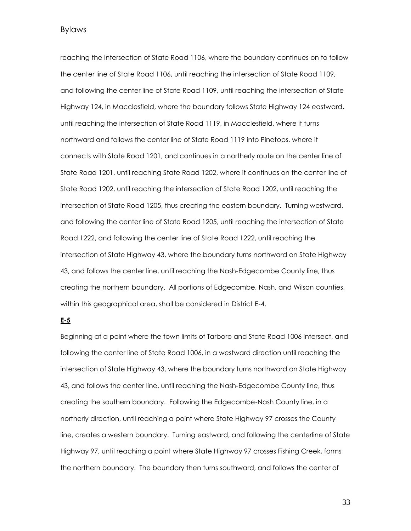Bylaws

reaching the intersection of State Road 1106, where the boundary continues on to follow the center line of State Road 1106, until reaching the intersection of State Road 1109, and following the center line of State Road 1109, until reaching the intersection of State Highway 124, in Macclesfield, where the boundary follows State Highway 124 eastward, until reaching the intersection of State Road 1119, in Macclesfield, where it turns northward and follows the center line of State Road 1119 into Pinetops, where it connects with State Road 1201, and continues in a northerly route on the center line of State Road 1201, until reaching State Road 1202, where it continues on the center line of State Road 1202, until reaching the intersection of State Road 1202, until reaching the intersection of State Road 1205, thus creating the eastern boundary. Turning westward, and following the center line of State Road 1205, until reaching the intersection of State Road 1222, and following the center line of State Road 1222, until reaching the intersection of State Highway 43, where the boundary turns northward on State Highway 43, and follows the center line, until reaching the Nash-Edgecombe County line, thus creating the northern boundary. All portions of Edgecombe, Nash, and Wilson counties, within this geographical area, shall be considered in District E-4.

#### **E-5**

Beginning at a point where the town limits of Tarboro and State Road 1006 intersect, and following the center line of State Road 1006, in a westward direction until reaching the intersection of State Highway 43, where the boundary turns northward on State Highway 43, and follows the center line, until reaching the Nash-Edgecombe County line, thus creating the southern boundary. Following the Edgecombe-Nash County line, in a northerly direction, until reaching a point where State Highway 97 crosses the County line, creates a western boundary. Turning eastward, and following the centerline of State Highway 97, until reaching a point where State Highway 97 crosses Fishing Creek, forms the northern boundary. The boundary then turns southward, and follows the center of

33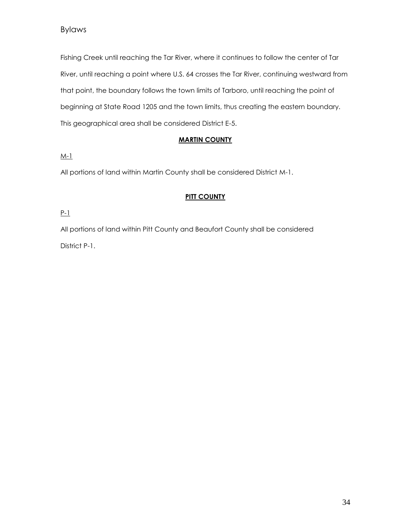Fishing Creek until reaching the Tar River, where it continues to follow the center of Tar River, until reaching a point where U.S. 64 crosses the Tar River, continuing westward from that point, the boundary follows the town limits of Tarboro, until reaching the point of beginning at State Road 1205 and the town limits, thus creating the eastern boundary. This geographical area shall be considered District E-5.

# **MARTIN COUNTY**

M-1

All portions of land within Martin County shall be considered District M-1.

# **PITT COUNTY**

P-1

All portions of land within Pitt County and Beaufort County shall be considered District P-1.